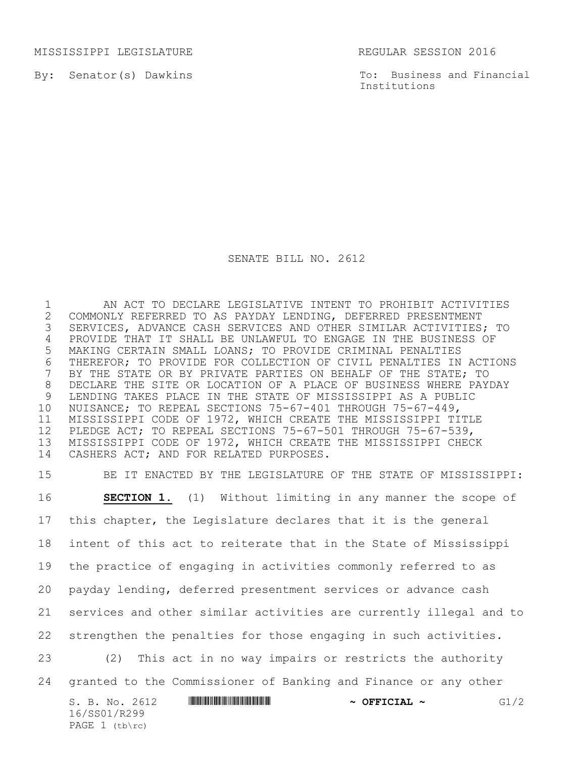MISSISSIPPI LEGISLATURE **REGULAR SESSION 2016** 

By: Senator(s) Dawkins

To: Business and Financial Institutions

## SENATE BILL NO. 2612

 AN ACT TO DECLARE LEGISLATIVE INTENT TO PROHIBIT ACTIVITIES 2 COMMONLY REFERRED TO AS PAYDAY LENDING, DEFERRED PRESENTMENT<br>3 SERVICES, ADVANCE CASH SERVICES AND OTHER SIMILAR ACTIVITIES SERVICES, ADVANCE CASH SERVICES AND OTHER SIMILAR ACTIVITIES; TO PROVIDE THAT IT SHALL BE UNLAWFUL TO ENGAGE IN THE BUSINESS OF MAKING CERTAIN SMALL LOANS; TO PROVIDE CRIMINAL PENALTIES 6 THEREFOR; TO PROVIDE FOR COLLECTION OF CIVIL PENALTIES IN ACTIONS<br>7 BY THE STATE OR BY PRIVATE PARTIES ON BEHALF OF THE STATE; TO BY THE STATE OR BY PRIVATE PARTIES ON BEHALF OF THE STATE; TO DECLARE THE SITE OR LOCATION OF A PLACE OF BUSINESS WHERE PAYDAY 9 LENDING TAKES PLACE IN THE STATE OF MISSISSIPPI AS A PUBLIC<br>10 NUISANCE; TO REPEAL SECTIONS 75-67-401 THROUGH 75-67-449, NUISANCE; TO REPEAL SECTIONS 75-67-401 THROUGH 75-67-449, MISSISSIPPI CODE OF 1972, WHICH CREATE THE MISSISSIPPI TITLE PLEDGE ACT; TO REPEAL SECTIONS 75-67-501 THROUGH 75-67-539, MISSISSIPPI CODE OF 1972, WHICH CREATE THE MISSISSIPPI CHECK CASHERS ACT; AND FOR RELATED PURPOSES.

 BE IT ENACTED BY THE LEGISLATURE OF THE STATE OF MISSISSIPPI: **SECTION 1.** (1) Without limiting in any manner the scope of this chapter, the Legislature declares that it is the general intent of this act to reiterate that in the State of Mississippi the practice of engaging in activities commonly referred to as payday lending, deferred presentment services or advance cash services and other similar activities are currently illegal and to strengthen the penalties for those engaging in such activities. (2) This act in no way impairs or restricts the authority granted to the Commissioner of Banking and Finance or any other

| S. B. No. 2612   | $\sim$ OFFICIAL $\sim$ | G1/2 |
|------------------|------------------------|------|
| 16/SS01/R299     |                        |      |
| PAGE $1$ (tb\rc) |                        |      |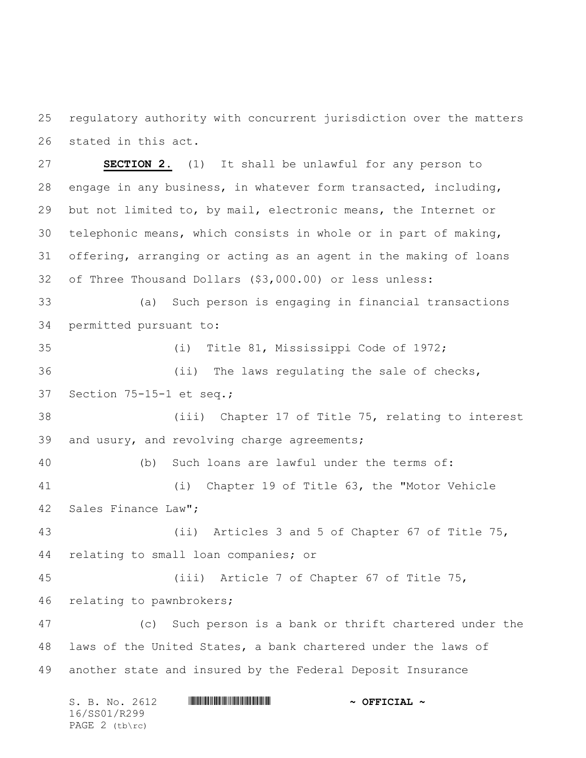regulatory authority with concurrent jurisdiction over the matters stated in this act.

 **SECTION 2.** (1) It shall be unlawful for any person to engage in any business, in whatever form transacted, including, but not limited to, by mail, electronic means, the Internet or telephonic means, which consists in whole or in part of making, offering, arranging or acting as an agent in the making of loans of Three Thousand Dollars (\$3,000.00) or less unless: (a) Such person is engaging in financial transactions permitted pursuant to:

 (i) Title 81, Mississippi Code of 1972; (ii) The laws regulating the sale of checks, Section 75-15-1 et seq.;

 (iii) Chapter 17 of Title 75, relating to interest and usury, and revolving charge agreements;

 (b) Such loans are lawful under the terms of: (i) Chapter 19 of Title 63, the "Motor Vehicle Sales Finance Law";

 (ii) Articles 3 and 5 of Chapter 67 of Title 75, relating to small loan companies; or

 (iii) Article 7 of Chapter 67 of Title 75, relating to pawnbrokers;

 (c) Such person is a bank or thrift chartered under the laws of the United States, a bank chartered under the laws of another state and insured by the Federal Deposit Insurance

| S. B. No. 2612 | $\sim$ OFFICIAL $\sim$ |
|----------------|------------------------|
| 16/SS01/R299   |                        |
| PAGE 2 (tb\rc) |                        |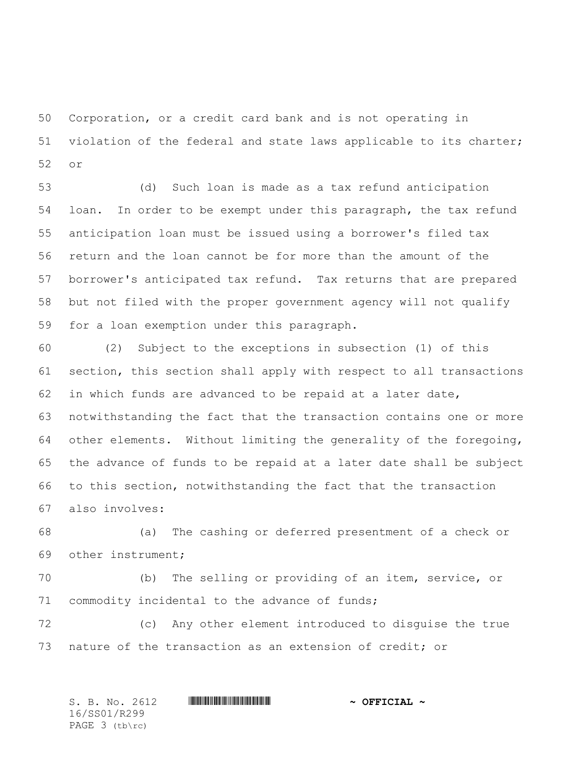Corporation, or a credit card bank and is not operating in violation of the federal and state laws applicable to its charter; or

 (d) Such loan is made as a tax refund anticipation loan. In order to be exempt under this paragraph, the tax refund anticipation loan must be issued using a borrower's filed tax return and the loan cannot be for more than the amount of the borrower's anticipated tax refund. Tax returns that are prepared but not filed with the proper government agency will not qualify for a loan exemption under this paragraph.

 (2) Subject to the exceptions in subsection (1) of this section, this section shall apply with respect to all transactions in which funds are advanced to be repaid at a later date, notwithstanding the fact that the transaction contains one or more other elements. Without limiting the generality of the foregoing, the advance of funds to be repaid at a later date shall be subject to this section, notwithstanding the fact that the transaction also involves:

 (a) The cashing or deferred presentment of a check or other instrument;

 (b) The selling or providing of an item, service, or commodity incidental to the advance of funds;

 (c) Any other element introduced to disguise the true nature of the transaction as an extension of credit; or

S. B. No. 2612 **\*\*\*\* A SEP A REPORT A POST OF PLACE A REPORT OF PLACE A SEP** 16/SS01/R299 PAGE 3 (tb\rc)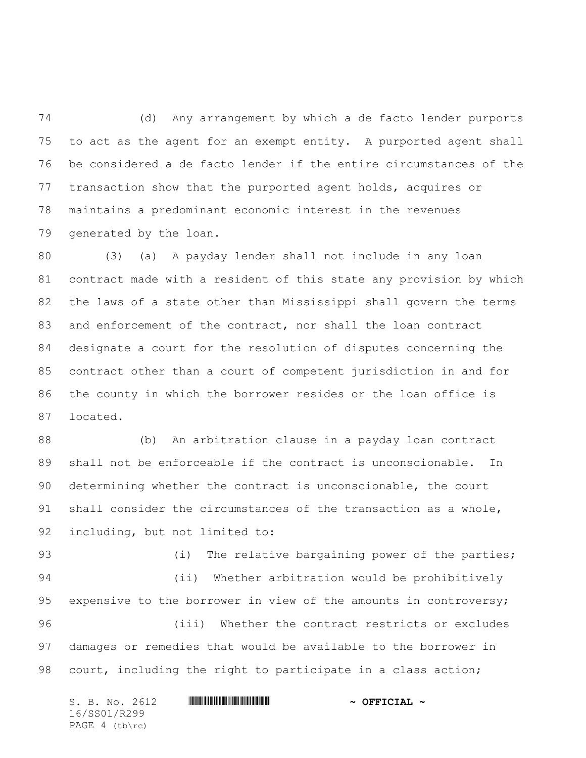(d) Any arrangement by which a de facto lender purports to act as the agent for an exempt entity. A purported agent shall be considered a de facto lender if the entire circumstances of the transaction show that the purported agent holds, acquires or maintains a predominant economic interest in the revenues generated by the loan.

 (3) (a) A payday lender shall not include in any loan contract made with a resident of this state any provision by which the laws of a state other than Mississippi shall govern the terms and enforcement of the contract, nor shall the loan contract designate a court for the resolution of disputes concerning the contract other than a court of competent jurisdiction in and for the county in which the borrower resides or the loan office is located.

 (b) An arbitration clause in a payday loan contract shall not be enforceable if the contract is unconscionable. In determining whether the contract is unconscionable, the court shall consider the circumstances of the transaction as a whole, including, but not limited to:

93 (i) The relative bargaining power of the parties; (ii) Whether arbitration would be prohibitively 95 expensive to the borrower in view of the amounts in controversy; (iii) Whether the contract restricts or excludes damages or remedies that would be available to the borrower in court, including the right to participate in a class action;

| S. B. No. 2612 | $\sim$ OFFICIAL $\sim$ |
|----------------|------------------------|
| 16/SS01/R299   |                        |
| PAGE 4 (tb\rc) |                        |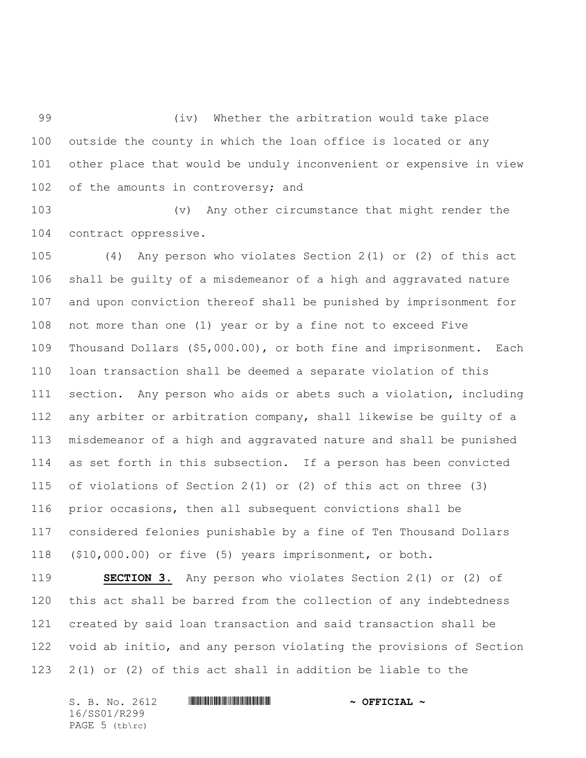(iv) Whether the arbitration would take place outside the county in which the loan office is located or any other place that would be unduly inconvenient or expensive in view 102 of the amounts in controversy; and

 (v) Any other circumstance that might render the contract oppressive.

 (4) Any person who violates Section 2(1) or (2) of this act shall be guilty of a misdemeanor of a high and aggravated nature and upon conviction thereof shall be punished by imprisonment for not more than one (1) year or by a fine not to exceed Five Thousand Dollars (\$5,000.00), or both fine and imprisonment. Each loan transaction shall be deemed a separate violation of this section. Any person who aids or abets such a violation, including any arbiter or arbitration company, shall likewise be guilty of a misdemeanor of a high and aggravated nature and shall be punished as set forth in this subsection. If a person has been convicted of violations of Section 2(1) or (2) of this act on three (3) prior occasions, then all subsequent convictions shall be considered felonies punishable by a fine of Ten Thousand Dollars (\$10,000.00) or five (5) years imprisonment, or both.

 **SECTION 3.** Any person who violates Section 2(1) or (2) of this act shall be barred from the collection of any indebtedness created by said loan transaction and said transaction shall be void ab initio, and any person violating the provisions of Section 2(1) or (2) of this act shall in addition be liable to the

S. B. No. 2612 **\*\*\*\* A SEPTE ALEXANDER \*\*\* A SEPTE ALEXANDER \*\*\*** 16/SS01/R299 PAGE 5 (tb\rc)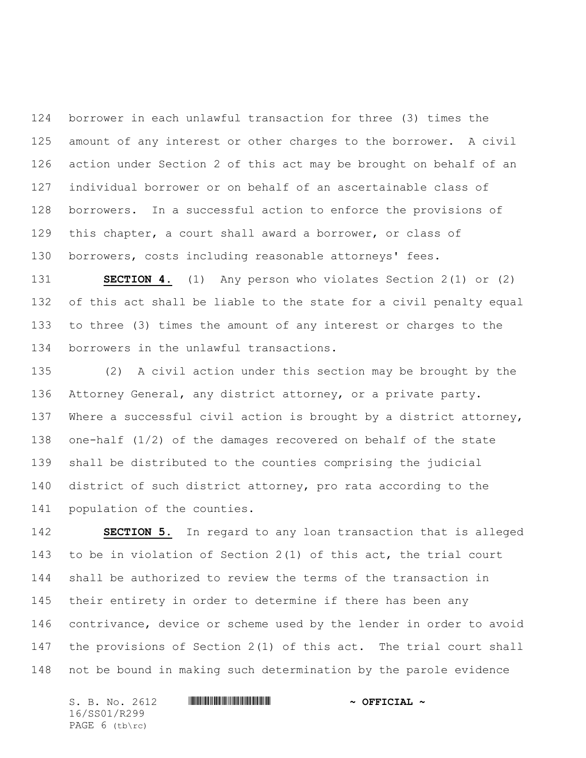borrower in each unlawful transaction for three (3) times the amount of any interest or other charges to the borrower. A civil action under Section 2 of this act may be brought on behalf of an individual borrower or on behalf of an ascertainable class of borrowers. In a successful action to enforce the provisions of this chapter, a court shall award a borrower, or class of borrowers, costs including reasonable attorneys' fees.

 **SECTION 4.** (1) Any person who violates Section 2(1) or (2) of this act shall be liable to the state for a civil penalty equal to three (3) times the amount of any interest or charges to the borrowers in the unlawful transactions.

 (2) A civil action under this section may be brought by the Attorney General, any district attorney, or a private party. Where a successful civil action is brought by a district attorney, one-half (1/2) of the damages recovered on behalf of the state shall be distributed to the counties comprising the judicial district of such district attorney, pro rata according to the population of the counties.

 **SECTION 5.** In regard to any loan transaction that is alleged to be in violation of Section 2(1) of this act, the trial court shall be authorized to review the terms of the transaction in their entirety in order to determine if there has been any contrivance, device or scheme used by the lender in order to avoid the provisions of Section 2(1) of this act. The trial court shall not be bound in making such determination by the parole evidence

S. B. No. 2612 **\*\*\*\* A SEPTE ALEXANDER \*\*\* A SEPTE ALEXANDER \*\*\*** 16/SS01/R299 PAGE 6 (tb\rc)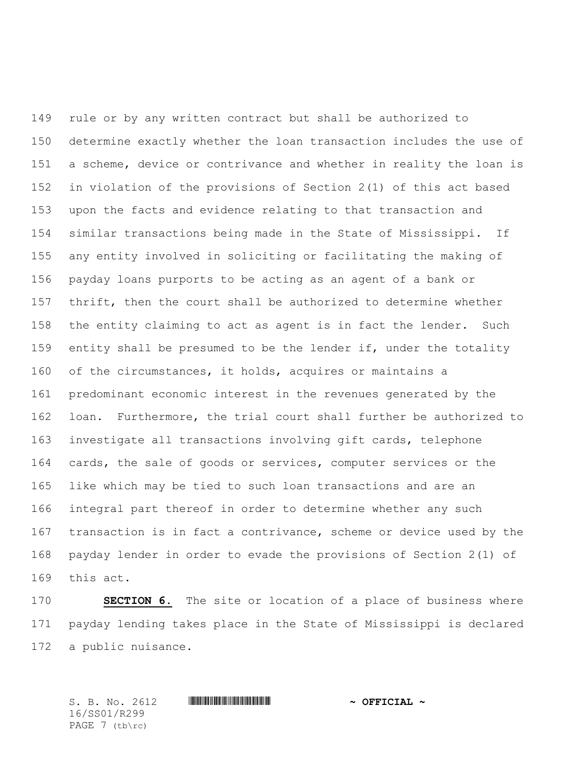rule or by any written contract but shall be authorized to determine exactly whether the loan transaction includes the use of a scheme, device or contrivance and whether in reality the loan is in violation of the provisions of Section 2(1) of this act based upon the facts and evidence relating to that transaction and similar transactions being made in the State of Mississippi. If any entity involved in soliciting or facilitating the making of payday loans purports to be acting as an agent of a bank or thrift, then the court shall be authorized to determine whether the entity claiming to act as agent is in fact the lender. Such entity shall be presumed to be the lender if, under the totality of the circumstances, it holds, acquires or maintains a predominant economic interest in the revenues generated by the loan. Furthermore, the trial court shall further be authorized to investigate all transactions involving gift cards, telephone cards, the sale of goods or services, computer services or the like which may be tied to such loan transactions and are an integral part thereof in order to determine whether any such transaction is in fact a contrivance, scheme or device used by the payday lender in order to evade the provisions of Section 2(1) of this act.

 **SECTION 6.** The site or location of a place of business where payday lending takes place in the State of Mississippi is declared a public nuisance.

S. B. No. 2612 **\*\*\*\* A SEP A REPORT A POST OF PLACE A REPORT OF PLACE A SEP** 16/SS01/R299 PAGE 7 (tb\rc)